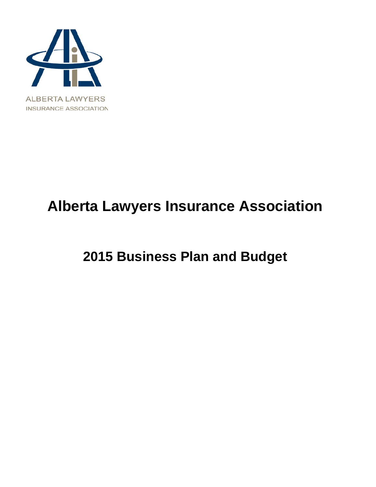

# **Alberta Lawyers Insurance Association**

# **2015 Business Plan and Budget**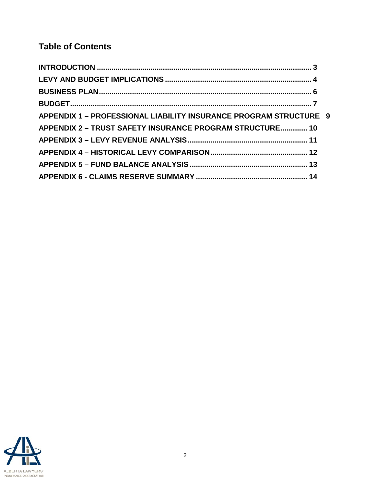# **Table of Contents**

| APPENDIX 1 - PROFESSIONAL LIABILITY INSURANCE PROGRAM STRUCTURE 9 |  |
|-------------------------------------------------------------------|--|
| APPENDIX 2 - TRUST SAFETY INSURANCE PROGRAM STRUCTURE 10          |  |
|                                                                   |  |
|                                                                   |  |
|                                                                   |  |
|                                                                   |  |

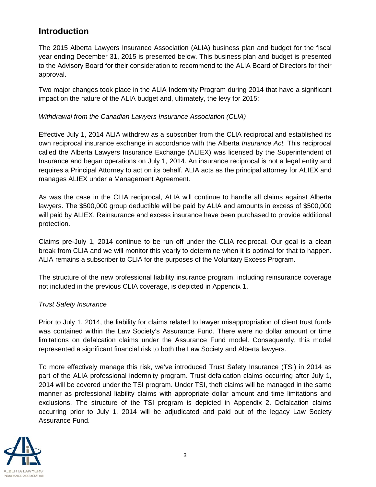### <span id="page-2-0"></span>**Introduction**

The 2015 Alberta Lawyers Insurance Association (ALIA) business plan and budget for the fiscal year ending December 31, 2015 is presented below. This business plan and budget is presented to the Advisory Board for their consideration to recommend to the ALIA Board of Directors for their approval.

Two major changes took place in the ALIA Indemnity Program during 2014 that have a significant impact on the nature of the ALIA budget and, ultimately, the levy for 2015:

#### *Withdrawal from the Canadian Lawyers Insurance Association (CLIA)*

Effective July 1, 2014 ALIA withdrew as a subscriber from the CLIA reciprocal and established its own reciprocal insurance exchange in accordance with the Alberta *Insurance Act.* This reciprocal called the Alberta Lawyers Insurance Exchange (ALIEX) was licensed by the Superintendent of Insurance and began operations on July 1, 2014. An insurance reciprocal is not a legal entity and requires a Principal Attorney to act on its behalf. ALIA acts as the principal attorney for ALIEX and manages ALIEX under a Management Agreement.

As was the case in the CLIA reciprocal, ALIA will continue to handle all claims against Alberta lawyers. The \$500,000 group deductible will be paid by ALIA and amounts in excess of \$500,000 will paid by ALIEX. Reinsurance and excess insurance have been purchased to provide additional protection.

Claims pre-July 1, 2014 continue to be run off under the CLIA reciprocal. Our goal is a clean break from CLIA and we will monitor this yearly to determine when it is optimal for that to happen. ALIA remains a subscriber to CLIA for the purposes of the Voluntary Excess Program.

The structure of the new professional liability insurance program, including reinsurance coverage not included in the previous CLIA coverage, is depicted in Appendix 1.

#### *Trust Safety Insurance*

Prior to July 1, 2014, the liability for claims related to lawyer misappropriation of client trust funds was contained within the Law Society's Assurance Fund. There were no dollar amount or time limitations on defalcation claims under the Assurance Fund model. Consequently, this model represented a significant financial risk to both the Law Society and Alberta lawyers.

To more effectively manage this risk, we've introduced Trust Safety Insurance (TSI) in 2014 as part of the ALIA professional indemnity program. Trust defalcation claims occurring after July 1, 2014 will be covered under the TSI program. Under TSI, theft claims will be managed in the same manner as professional liability claims with appropriate dollar amount and time limitations and exclusions. The structure of the TSI program is depicted in Appendix 2. Defalcation claims occurring prior to July 1, 2014 will be adjudicated and paid out of the legacy Law Society Assurance Fund.

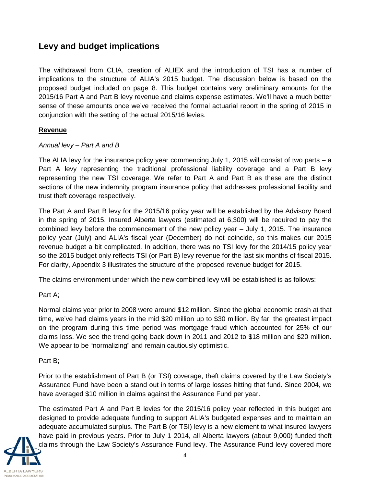### <span id="page-3-0"></span>**Levy and budget implications**

The withdrawal from CLIA, creation of ALIEX and the introduction of TSI has a number of implications to the structure of ALIA's 2015 budget. The discussion below is based on the proposed budget included on page 8. This budget contains very preliminary amounts for the 2015/16 Part A and Part B levy revenue and claims expense estimates. We'll have a much better sense of these amounts once we've received the formal actuarial report in the spring of 2015 in conjunction with the setting of the actual 2015/16 levies.

#### **Revenue**

#### *Annual levy – Part A and B*

The ALIA levy for the insurance policy year commencing July 1, 2015 will consist of two parts – a Part A levy representing the traditional professional liability coverage and a Part B levy representing the new TSI coverage. We refer to Part A and Part B as these are the distinct sections of the new indemnity program insurance policy that addresses professional liability and trust theft coverage respectively.

The Part A and Part B levy for the 2015/16 policy year will be established by the Advisory Board in the spring of 2015. Insured Alberta lawyers (estimated at 6,300) will be required to pay the combined levy before the commencement of the new policy year – July 1, 2015. The insurance policy year (July) and ALIA's fiscal year (December) do not coincide, so this makes our 2015 revenue budget a bit complicated. In addition, there was no TSI levy for the 2014/15 policy year so the 2015 budget only reflects TSI (or Part B) levy revenue for the last six months of fiscal 2015. For clarity, Appendix 3 illustrates the structure of the proposed revenue budget for 2015.

The claims environment under which the new combined levy will be established is as follows:

#### Part A;

Normal claims year prior to 2008 were around \$12 million. Since the global economic crash at that time, we've had claims years in the mid \$20 million up to \$30 million. By far, the greatest impact on the program during this time period was mortgage fraud which accounted for 25% of our claims loss. We see the trend going back down in 2011 and 2012 to \$18 million and \$20 million. We appear to be "normalizing" and remain cautiously optimistic.

#### Part B;

Prior to the establishment of Part B (or TSI) coverage, theft claims covered by the Law Society's Assurance Fund have been a stand out in terms of large losses hitting that fund. Since 2004, we have averaged \$10 million in claims against the Assurance Fund per year.

The estimated Part A and Part B levies for the 2015/16 policy year reflected in this budget are designed to provide adequate funding to support ALIA's budgeted expenses and to maintain an adequate accumulated surplus. The Part B (or TSI) levy is a new element to what insured lawyers have paid in previous years. Prior to July 1 2014, all Alberta lawyers (about 9,000) funded theft claims through the Law Society's Assurance Fund levy. The Assurance Fund levy covered more

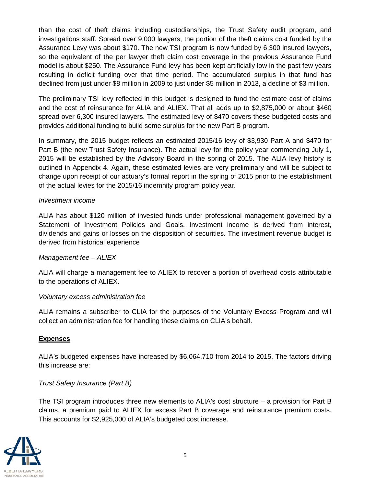than the cost of theft claims including custodianships, the Trust Safety audit program, and investigations staff. Spread over 9,000 lawyers, the portion of the theft claims cost funded by the Assurance Levy was about \$170. The new TSI program is now funded by 6,300 insured lawyers, so the equivalent of the per lawyer theft claim cost coverage in the previous Assurance Fund model is about \$250. The Assurance Fund levy has been kept artificially low in the past few years resulting in deficit funding over that time period. The accumulated surplus in that fund has declined from just under \$8 million in 2009 to just under \$5 million in 2013, a decline of \$3 million.

The preliminary TSI levy reflected in this budget is designed to fund the estimate cost of claims and the cost of reinsurance for ALIA and ALIEX. That all adds up to \$2,875,000 or about \$460 spread over 6,300 insured lawyers. The estimated levy of \$470 covers these budgeted costs and provides additional funding to build some surplus for the new Part B program.

In summary, the 2015 budget reflects an estimated 2015/16 levy of \$3,930 Part A and \$470 for Part B (the new Trust Safety Insurance). The actual levy for the policy year commencing July 1, 2015 will be established by the Advisory Board in the spring of 2015. The ALIA levy history is outlined in Appendix 4. Again, these estimated levies are very preliminary and will be subject to change upon receipt of our actuary's formal report in the spring of 2015 prior to the establishment of the actual levies for the 2015/16 indemnity program policy year.

#### *Investment income*

ALIA has about \$120 million of invested funds under professional management governed by a Statement of Investment Policies and Goals. Investment income is derived from interest, dividends and gains or losses on the disposition of securities. The investment revenue budget is derived from historical experience

#### *Management fee – ALIEX*

ALIA will charge a management fee to ALIEX to recover a portion of overhead costs attributable to the operations of ALIEX.

#### *Voluntary excess administration fee*

ALIA remains a subscriber to CLIA for the purposes of the Voluntary Excess Program and will collect an administration fee for handling these claims on CLIA's behalf.

#### **Expenses**

ALIA's budgeted expenses have increased by \$6,064,710 from 2014 to 2015. The factors driving this increase are:

#### *Trust Safety Insurance (Part B)*

The TSI program introduces three new elements to ALIA's cost structure – a provision for Part B claims, a premium paid to ALIEX for excess Part B coverage and reinsurance premium costs. This accounts for \$2,925,000 of ALIA's budgeted cost increase.

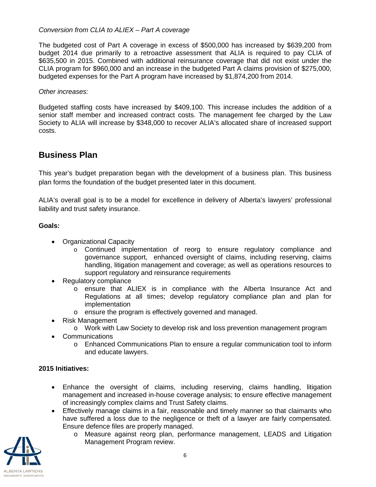#### *Conversion from CLIA to ALIEX – Part A coverage*

The budgeted cost of Part A coverage in excess of \$500,000 has increased by \$639,200 from budget 2014 due primarily to a retroactive assessment that ALIA is required to pay CLIA of \$635,500 in 2015. Combined with additional reinsurance coverage that did not exist under the CLIA program for \$960,000 and an increase in the budgeted Part A claims provision of \$275,000, budgeted expenses for the Part A program have increased by \$1,874,200 from 2014.

#### *Other increases:*

Budgeted staffing costs have increased by \$409,100. This increase includes the addition of a senior staff member and increased contract costs. The management fee charged by the Law Society to ALIA will increase by \$348,000 to recover ALIA's allocated share of increased support costs.

### <span id="page-5-0"></span>**Business Plan**

This year's budget preparation began with the development of a business plan. This business plan forms the foundation of the budget presented later in this document.

ALIA's overall goal is to be a model for excellence in delivery of Alberta's lawyers' professional liability and trust safety insurance.

#### **Goals:**

- Organizational Capacity
	- o Continued implementation of reorg to ensure regulatory compliance and governance support, enhanced oversight of claims, including reserving, claims handling, litigation management and coverage; as well as operations resources to support regulatory and reinsurance requirements
- Regulatory compliance
	- o ensure that ALIEX is in compliance with the Alberta Insurance Act and Regulations at all times; develop regulatory compliance plan and plan for implementation
	- o ensure the program is effectively governed and managed.
- Risk Management
	- o Work with Law Society to develop risk and loss prevention management program
- Communications
	- o Enhanced Communications Plan to ensure a regular communication tool to inform and educate lawyers.

#### **2015 Initiatives:**

- Enhance the oversight of claims, including reserving, claims handling, litigation management and increased in-house coverage analysis; to ensure effective management of increasingly complex claims and Trust Safety claims.
- Effectively manage claims in a fair, reasonable and timely manner so that claimants who have suffered a loss due to the negligence or theft of a lawyer are fairly compensated. Ensure defence files are properly managed.
	- o Measure against reorg plan, performance management, LEADS and Litigation Management Program review.

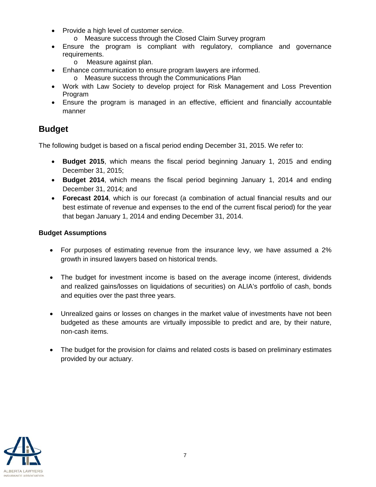- Provide a high level of customer service.
	- o Measure success through the Closed Claim Survey program
- Ensure the program is compliant with regulatory, compliance and governance requirements.
	- o Measure against plan.
- Enhance communication to ensure program lawyers are informed.
	- o Measure success through the Communications Plan
- Work with Law Society to develop project for Risk Management and Loss Prevention Program
- Ensure the program is managed in an effective, efficient and financially accountable manner

### <span id="page-6-0"></span>**Budget**

The following budget is based on a fiscal period ending December 31, 2015. We refer to:

- **Budget 2015**, which means the fiscal period beginning January 1, 2015 and ending December 31, 2015;
- **Budget 2014**, which means the fiscal period beginning January 1, 2014 and ending December 31, 2014; and
- **Forecast 2014**, which is our forecast (a combination of actual financial results and our best estimate of revenue and expenses to the end of the current fiscal period) for the year that began January 1, 2014 and ending December 31, 2014.

#### **Budget Assumptions**

- For purposes of estimating revenue from the insurance levy, we have assumed a 2% growth in insured lawyers based on historical trends.
- The budget for investment income is based on the average income (interest, dividends and realized gains/losses on liquidations of securities) on ALIA's portfolio of cash, bonds and equities over the past three years.
- Unrealized gains or losses on changes in the market value of investments have not been budgeted as these amounts are virtually impossible to predict and are, by their nature, non-cash items.
- The budget for the provision for claims and related costs is based on preliminary estimates provided by our actuary.

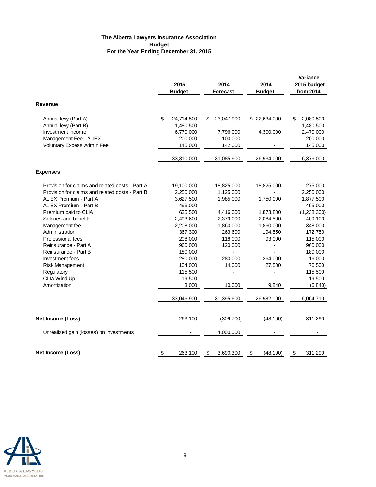#### **The Alberta Lawyers Insurance Association Budget For the Year Ending December 31, 2015**

|                                                                                                    | 2015<br><b>Budget</b>                                 | 2014<br>Forecast                         |     | 2014<br><b>Budget</b>               | Variance<br>2015 budget<br>from 2014                 |
|----------------------------------------------------------------------------------------------------|-------------------------------------------------------|------------------------------------------|-----|-------------------------------------|------------------------------------------------------|
| <b>Revenue</b>                                                                                     |                                                       |                                          |     |                                     |                                                      |
| Annual levy (Part A)<br>Annual levy (Part B)<br>Investment income<br>Management Fee - ALIEX        | \$<br>24,714,500<br>1,480,500<br>6,770,000<br>200,000 | \$<br>23,047,900<br>7,796,000<br>100,000 | \$. | 22,634,000<br>4,300,000             | \$<br>2,080,500<br>1,480,500<br>2,470,000<br>200,000 |
| Voluntary Excess Admin Fee                                                                         | 145,000                                               | 142,000                                  |     |                                     | 145,000                                              |
|                                                                                                    | 33,310,000                                            | 31,085,900                               |     | 26,934,000                          | 6,376,000                                            |
| <b>Expenses</b>                                                                                    |                                                       |                                          |     |                                     |                                                      |
| Provision for claims and related costs - Part A<br>Provision for claims and related costs - Part B | 19,100,000<br>2,250,000                               | 18,825,000<br>1,125,000                  |     | 18,825,000                          | 275,000<br>2,250,000                                 |
| ALIEX Premium - Part A<br>ALIEX Premium - Part B                                                   | 3,627,500<br>495,000                                  | 1,985,000<br>$\overline{\phantom{a}}$    |     | 1,750,000                           | 1,877,500<br>495,000                                 |
| Premium paid to CLIA<br>Salaries and benefits<br>Management fee                                    | 635,500<br>2,493,600<br>2,208,000                     | 4,416,000<br>2,379,000<br>1,860,000      |     | 1,873,800<br>2,084,500<br>1,860,000 | (1,238,300)<br>409,100<br>348,000                    |
| Administration<br><b>Professional fees</b>                                                         | 367,300<br>208,000                                    | 263,600<br>118,000                       |     | 194,550<br>93,000                   | 172,750<br>115,000                                   |
| Reinsurance - Part A<br>Reinsurance - Part B                                                       | 960,000<br>180,000                                    | 120,000                                  |     |                                     | 960,000<br>180,000                                   |
| Investment fees<br><b>Risk Management</b><br>Regulatory                                            | 280,000<br>104,000<br>115,500                         | 280,000<br>14,000                        |     | 264,000<br>27,500<br>$\overline{a}$ | 16,000<br>76,500<br>115,500                          |
| CLIA Wind Up<br>Amortization                                                                       | 19,500<br>3,000                                       | 10,000                                   |     | 9,840                               | 19,500<br>(6, 840)                                   |
|                                                                                                    | 33,046,900                                            | 31,395,600                               |     | 26,982,190                          | 6,064,710                                            |
| Net Income (Loss)                                                                                  | 263,100                                               | (309, 700)                               |     | (48, 190)                           | 311,290                                              |
| Unrealized gain (losses) on Investments                                                            |                                                       | 4,000,000                                |     |                                     |                                                      |
| Net Income (Loss)                                                                                  | \$<br>263,100                                         | \$<br>3,690,300                          | \$  | (48, 190)                           | \$<br>311,290                                        |

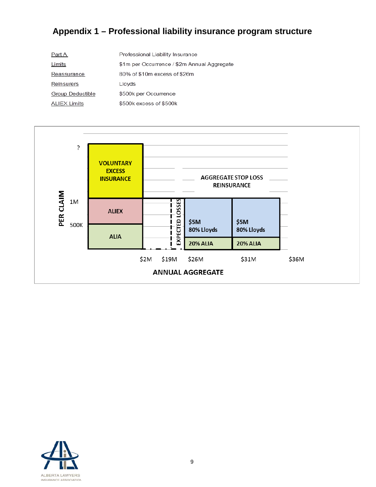# <span id="page-8-0"></span>**Appendix 1 – Professional liability insurance program structure**

| Part A              | Professional Liability Insurance            |
|---------------------|---------------------------------------------|
| Limits              | \$1m per Occurrence / \$2m Annual Aggregate |
| Reassurance         | 80% of \$10m excess of \$26m                |
| Reinsurers          | Lloyds                                      |
| Group Deductible    | \$500k per Occurrence                       |
| <b>ALIEX Limits</b> | \$500k excess of \$500k                     |



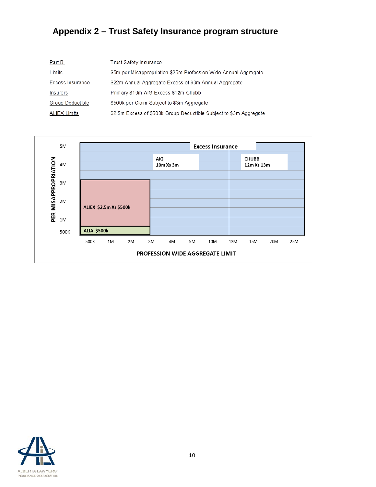# <span id="page-9-0"></span>**Appendix 2 – Trust Safety Insurance program structure**

| Part B           | Trust Safety Insurance                                             |
|------------------|--------------------------------------------------------------------|
| Limits           | \$5m per Misappropriation \$25m Profession Wide Annual Aggregate   |
| Excess Insurance | \$22m Annual Aggregate Excess of \$3m Annual Aggregate             |
| Insurers         | Primary \$10m AIG Excess \$12m Chubb                               |
| Group Deductible | \$500k per Claim Subject to \$3m Aggregate                         |
| ALIEX Limits     | \$2.5m Excess of \$500k Group Deductible Subject to \$3m Aggregate |



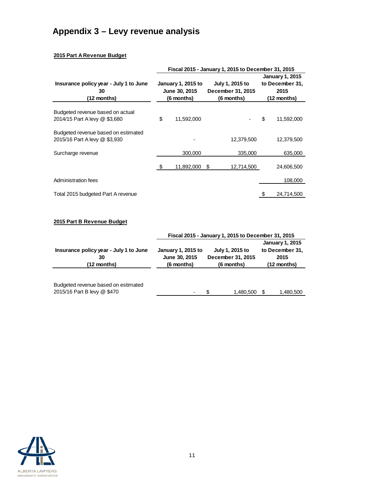# <span id="page-10-0"></span>**Appendix 3 – Levy revenue analysis**

#### **2015 Part A Revenue Budget**

|                                                                      | Fiscal 2015 - January 1, 2015 to December 31, 2015 |                    |                   |                 |                 |                        |  |  |
|----------------------------------------------------------------------|----------------------------------------------------|--------------------|-------------------|-----------------|-----------------|------------------------|--|--|
|                                                                      |                                                    |                    |                   |                 |                 | <b>January 1, 2015</b> |  |  |
| Insurance policy year - July 1 to June                               |                                                    | January 1, 2015 to |                   | July 1, 2015 to | to December 31, |                        |  |  |
| 30                                                                   | June 30, 2015                                      |                    | December 31, 2015 |                 | 2015            |                        |  |  |
| (12 months)                                                          | (6 months)                                         |                    | (6 months)        |                 | (12 months)     |                        |  |  |
| Budgeted revenue based on actual<br>2014/15 Part A levy @ \$3,680    | \$                                                 | 11.592.000         |                   |                 | \$              | 11,592,000             |  |  |
| Budgeted revenue based on estimated<br>2015/16 Part A levy @ \$3,930 |                                                    |                    |                   | 12,379,500      |                 | 12,379,500             |  |  |
| Surcharge revenue                                                    |                                                    | 300,000            |                   | 335,000         |                 | 635,000                |  |  |
|                                                                      | \$                                                 | 11,892,000         | S                 | 12,714,500      |                 | 24,606,500             |  |  |
| Administration fees                                                  |                                                    |                    |                   |                 |                 | 108,000                |  |  |
| Total 2015 budgeted Part A revenue                                   |                                                    |                    |                   |                 |                 | 24,714,500             |  |  |

#### **2015 Part B Revenue Budget**

|                                        | Fiscal 2015 - January 1, 2015 to December 31, 2015 |                 |                        |  |  |  |  |  |
|----------------------------------------|----------------------------------------------------|-----------------|------------------------|--|--|--|--|--|
|                                        |                                                    |                 | <b>January 1, 2015</b> |  |  |  |  |  |
| Insurance policy year - July 1 to June | <b>January 1, 2015 to</b>                          | July 1, 2015 to | to December 31,        |  |  |  |  |  |
| 30                                     | December 31, 2015<br>June 30, 2015                 |                 | 2015                   |  |  |  |  |  |
| $(12$ months)                          | (6 months)                                         | (6 months)      | (12 months)            |  |  |  |  |  |
|                                        |                                                    |                 |                        |  |  |  |  |  |
| Budgeted revenue based on estimated    |                                                    |                 |                        |  |  |  |  |  |
| 2015/16 Part B levy @ \$470            |                                                    | 1,480,500       | 1,480,500              |  |  |  |  |  |

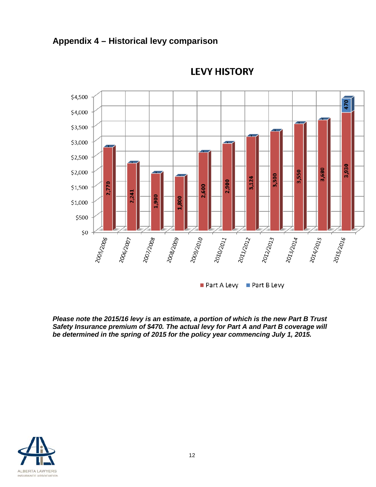<span id="page-11-0"></span>



### **LEVY HISTORY**

Part A Levy Part B Levy

*Please note the 2015/16 levy is an estimate, a portion of which is the new Part B Trust Safety Insurance premium of \$470. The actual levy for Part A and Part B coverage will be determined in the spring of 2015 for the policy year commencing July 1, 2015.*

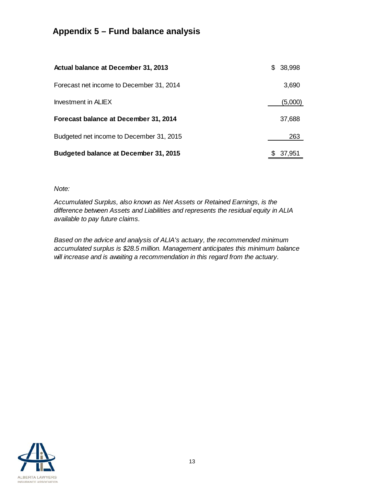## <span id="page-12-0"></span>**Appendix 5 – Fund balance analysis**

| Actual balance at December 31, 2013          | S | 38,998  |
|----------------------------------------------|---|---------|
| Forecast net income to December 31, 2014     |   | 3,690   |
| Investment in ALIEX                          |   | (5,000) |
| Forecast balance at December 31, 2014        |   | 37,688  |
| Budgeted net income to December 31, 2015     |   | 263     |
| <b>Budgeted balance at December 31, 2015</b> |   | 37,951  |

*Note:*

*Accumulated Surplus, also known as Net Assets or Retained Earnings, is the difference between Assets and Liabilities and represents the residual equity in ALIA available to pay future claims.* 

*Based on the advice and analysis of ALIA's actuary, the recommended minimum accumulated surplus is \$28.5 million. Management anticipates this minimum balance will increase and is awaiting a recommendation in this regard from the actuary.*